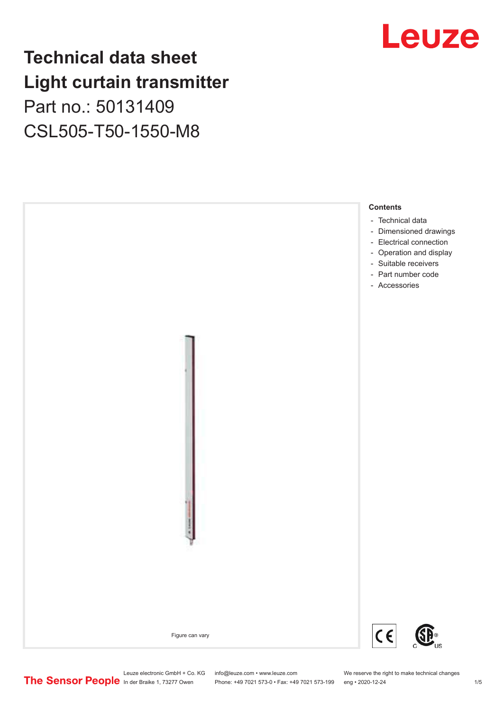### **Technical data sheet Light curtain transmitter** Part no.: 50131409

CSL505-T50-1550-M8





Phone: +49 7021 573-0 • Fax: +49 7021 573-199 eng • 2020-12-24 1 2020-12-24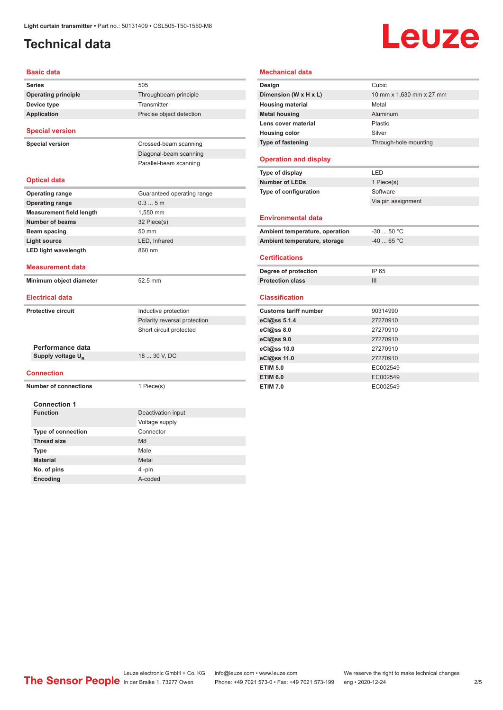#### <span id="page-1-0"></span>**Technical data**

# **Leuze**

| <b>Series</b>                                   | 505                                  |
|-------------------------------------------------|--------------------------------------|
| <b>Operating principle</b>                      | Throughbeam principle                |
| Device type                                     | Transmitter                          |
| <b>Application</b>                              | Precise object detection             |
| <b>Special version</b>                          |                                      |
| <b>Special version</b>                          | Crossed-beam scanning                |
|                                                 | Diagonal-beam scanning               |
|                                                 | Parallel-beam scanning               |
| <b>Optical data</b>                             |                                      |
| <b>Operating range</b>                          | Guaranteed operating range           |
| <b>Operating range</b>                          | 0.35m                                |
| <b>Measurement field length</b>                 | 1,550 mm                             |
| <b>Number of beams</b>                          | 32 Piece(s)                          |
| <b>Beam spacing</b>                             | 50 mm                                |
| <b>Light source</b>                             | LED, Infrared                        |
| <b>LED light wavelength</b>                     | 860 nm                               |
| Measurement data                                |                                      |
| Minimum object diameter                         | 52.5 mm                              |
| Electrical data                                 |                                      |
|                                                 |                                      |
| <b>Protective circuit</b>                       | Inductive protection                 |
|                                                 | Polarity reversal protection         |
|                                                 | Short circuit protected              |
|                                                 |                                      |
| Performance data                                |                                      |
| Supply voltage U <sub>B</sub>                   | 18  30 V, DC                         |
| Connection                                      |                                      |
| <b>Number of connections</b>                    | 1 Piece(s)                           |
|                                                 |                                      |
| <b>Connection 1</b><br><b>Function</b>          |                                      |
|                                                 | Deactivation input<br>Voltage supply |
|                                                 | Connector                            |
| <b>Type of connection</b><br><b>Thread size</b> | M8                                   |
|                                                 | Male                                 |
| <b>Type</b><br><b>Material</b>                  | Metal                                |
| No. of pins                                     | 4-pin                                |

| Design                                                                                                                                             | Cubic                    |
|----------------------------------------------------------------------------------------------------------------------------------------------------|--------------------------|
| Dimension (W x H x L)                                                                                                                              | 10 mm x 1,630 mm x 27 mm |
| <b>Housing material</b>                                                                                                                            | Metal                    |
| <b>Metal housing</b>                                                                                                                               | Aluminum                 |
| Lens cover material                                                                                                                                | Plastic                  |
| <b>Housing color</b>                                                                                                                               | Silver                   |
| Type of fastening                                                                                                                                  | Through-hole mounting    |
| <b>Operation and display</b>                                                                                                                       |                          |
| Type of display                                                                                                                                    | LED                      |
| <b>Number of LEDs</b>                                                                                                                              | 1 Piece(s)               |
| Type of configuration                                                                                                                              | Software                 |
|                                                                                                                                                    | Via pin assignment       |
| <b>Environmental data</b>                                                                                                                          |                          |
| Ambient temperature, operation                                                                                                                     | $-30$ 50 °C              |
| Ambient temperature, storage                                                                                                                       | $-40$ 65 °C              |
| <b>Certifications</b>                                                                                                                              |                          |
| Degree of protection                                                                                                                               | IP 65                    |
| <b>Protection class</b>                                                                                                                            | $\mathbf{III}$           |
|                                                                                                                                                    |                          |
|                                                                                                                                                    |                          |
|                                                                                                                                                    | 90314990                 |
|                                                                                                                                                    | 27270910                 |
|                                                                                                                                                    | 27270910                 |
|                                                                                                                                                    | 27270910                 |
|                                                                                                                                                    | 27270910                 |
|                                                                                                                                                    | 27270910                 |
| <b>Classification</b><br><b>Customs tariff number</b><br>eCl@ss 5.1.4<br>eCl@ss 8.0<br>eCl@ss 9.0<br>eCl@ss 10.0<br>eCl@ss 11.0<br><b>ETIM 5.0</b> | EC002549                 |
| <b>ETIM 6.0</b>                                                                                                                                    | EC002549                 |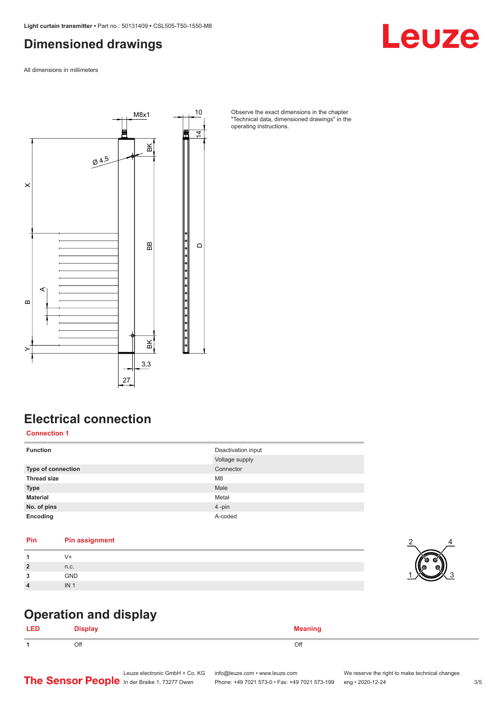#### <span id="page-2-0"></span>**Dimensioned drawings**

All dimensions in millimeters



Observe the exact dimensions in the chapter "Technical data, dimensioned drawings" in the operating instructions.

#### **Electrical connection**

**Connection 1**

| <b>Function</b>           | Deactivation input<br>Voltage supply |
|---------------------------|--------------------------------------|
| <b>Type of connection</b> | Connector                            |
| <b>Thread size</b>        | M <sub>8</sub>                       |
| <b>Type</b>               | Male                                 |
| <b>Material</b>           | Metal                                |
| No. of pins               | 4-pin                                |
| Encoding                  | A-coded                              |

#### **Pin Pin assignment**

| $\overline{2}$   | n.c.       |
|------------------|------------|
| ໍາ               | <b>GND</b> |
| $\boldsymbol{4}$ | IN         |



Leuze

#### **Operation and display**

| . . |     |     |
|-----|-----|-----|
|     | Off | Off |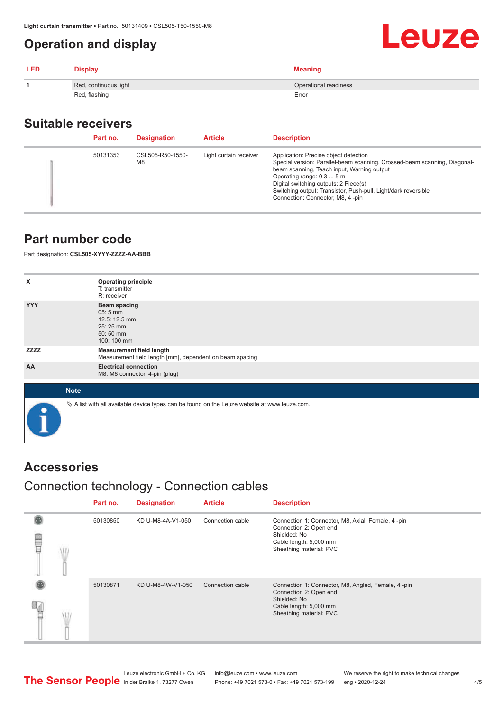#### <span id="page-3-0"></span>**Operation and display**

| <b>LED</b> | <b>Display</b>        | <b>Meaning</b>        |
|------------|-----------------------|-----------------------|
|            | Red, continuous light | Operational readiness |
|            | Red, flashing         | Error                 |

#### **Suitable receivers**

| Part no. | <b>Designation</b>                 | <b>Article</b>         | <b>Description</b>                                                                                                                                                                                                                                                                                                                           |
|----------|------------------------------------|------------------------|----------------------------------------------------------------------------------------------------------------------------------------------------------------------------------------------------------------------------------------------------------------------------------------------------------------------------------------------|
| 50131353 | CSL505-R50-1550-<br>M <sub>8</sub> | Light curtain receiver | Application: Precise object detection<br>Special version: Parallel-beam scanning, Crossed-beam scanning, Diagonal-<br>beam scanning, Teach input, Warning output<br>Operating range: 0.3  5 m<br>Digital switching outputs: 2 Piece(s)<br>Switching output: Transistor, Push-pull, Light/dark reversible<br>Connection: Connector, M8, 4-pin |

#### **Part number code**

Part designation: **CSL505-XYYY-ZZZZ-AA-BBB**

| x           | <b>Operating principle</b><br>T: transmitter                                                    |
|-------------|-------------------------------------------------------------------------------------------------|
|             | R: receiver                                                                                     |
| <b>YYY</b>  | <b>Beam spacing</b><br>05:5 mm<br>12.5: 12.5 mm<br>25:25 mm<br>50:50 mm<br>100: 100 mm          |
| <b>ZZZZ</b> | <b>Measurement field length</b><br>Measurement field length [mm], dependent on beam spacing     |
| AA          | <b>Electrical connection</b><br>M8: M8 connector, 4-pin (plug)                                  |
|             |                                                                                                 |
| <b>Note</b> |                                                                                                 |
| $\bullet$   | $\&$ A list with all available device types can be found on the Leuze website at www.leuze.com. |

#### **Accessories**

#### Connection technology - Connection cables

|   | Part no. | <b>Designation</b> | <b>Article</b>   | <b>Description</b>                                                                                                                                |
|---|----------|--------------------|------------------|---------------------------------------------------------------------------------------------------------------------------------------------------|
| ŧ | 50130850 | KD U-M8-4A-V1-050  | Connection cable | Connection 1: Connector, M8, Axial, Female, 4-pin<br>Connection 2: Open end<br>Shielded: No<br>Cable length: 5,000 mm<br>Sheathing material: PVC  |
|   | 50130871 | KD U-M8-4W-V1-050  | Connection cable | Connection 1: Connector, M8, Angled, Female, 4-pin<br>Connection 2: Open end<br>Shielded: No<br>Cable length: 5,000 mm<br>Sheathing material: PVC |

Leuze